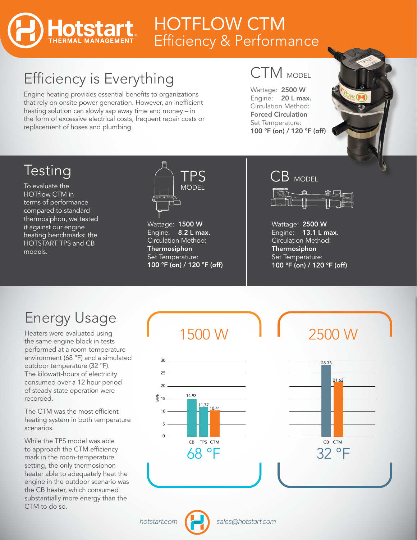## HOTFLOW CTM Efficiency & Performance

# Efficiency is Everything

Engine heating provides essential benefits to organizations that rely on onsite power generation. However, an inefficient heating solution can slowly sap away time and money – in the form of excessive electrical costs, frequent repair costs or replacement of hoses and plumbing.

### CTM MODEL

Wattage: 2500 W Engine: 20 L max. Circulation Method: Forced Circulation Set Temperature: 100 °F (on) / 120 °F (off)



### Testing

To evaluate the HOTflow CTM in terms of performance compared to standard thermosiphon, we tested it against our engine heating benchmarks: the HOTSTART TPS and CB models.



Wattage: 1500 W Engine: 8.2 L max. Circulation Method: Thermosiphon Set Temperature: 100 °F (on) / 120 °F (off)

#### CB MODEL



Wattage: 2500 W Engine: 13.1 L max. Circulation Method: Thermosiphon Set Temperature: 100 °F (on) / 120 °F (off)

## Energy Usage

Heaters were evaluated using the same engine block in tests performed at a room-temperature environment (68 °F) and a simulated outdoor temperature (32 °F). The kilowatt-hours of electricity consumed over a 12 hour period of steady state operation were recorded.

The CTM was the most efficient heating system in both temperature scenarios.

While the TPS model was able to approach the CTM efficiency mark in the room-temperature setting, the only thermosiphon heater able to adequately heat the engine in the outdoor scenario was the CB heater, which consumed substantially more energy than the CTM to do so.

1500 W



18.22

21.62

11.77

28.35

TPS EVR CB CTM EVR CB CTM EVR

8.27

7.38





 $\Omega$ 5 10  $\bar{\ddot{\bm{\mathsf{\less}}}}$  15

 $20<sub>2</sub>$ 25 30

30